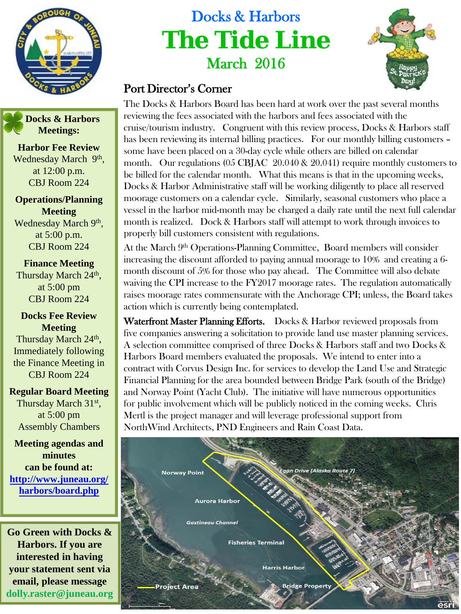

 **Docks & Harbors Meetings:**

**Harbor Fee Review** Wednesday March 9th, at 12:00 p.m. CBJ Room 224

**Operations/Planning Meeting** Wednesday March 9th, at 5:00 p.m. CBJ Room 224

**Finance Meeting** Thursday March 24<sup>th</sup>, at 5:00 pm CBJ Room 224

**Docks Fee Review Meeting**

Thursday March 24<sup>th</sup>, Immediately following the Finance Meeting in CBJ Room 224

**Regular Board Meeting**

Thursday March 31st, at 5:00 pm Assembly Chambers

**Meeting agendas and minutes can be found at: [http://www.juneau.org/](http://www.juneau.org/harbors/board.php) [harbors/board.php](http://www.juneau.org/harbors/board.php)**

**Go Green with Docks & Harbors. If you are interested in having your statement sent via email, please message dolly.raster@juneau.org**

## Docks & Harbors **The Tide Line** March 2016



## Port Director's Corner

The Docks & Harbors Board has been hard at work over the past several months reviewing the fees associated with the harbors and fees associated with the cruise/tourism industry. Congruent with this review process, Docks & Harbors staff has been reviewing its internal billing practices. For our monthly billing customers – some have been placed on a 30-day cycle while others are billed on calendar month. Our regulations (05 CBJAC 20.040 & 20.041) require monthly customers to be billed for the calendar month. What this means is that in the upcoming weeks, Docks & Harbor Administrative staff will be working diligently to place all reserved moorage customers on a calendar cycle. Similarly, seasonal customers who place a vessel in the harbor mid-month may be charged a daily rate until the next full calendar month is realized. Dock & Harbors staff will attempt to work through invoices to properly bill customers consistent with regulations.

At the March 9<sup>th</sup> Operations-Planning Committee, Board members will consider increasing the discount afforded to paying annual moorage to 10% and creating a 6 month discount of 5% for those who pay ahead. The Committee will also debate waiving the CPI increase to the FY2017 moorage rates. The regulation automatically raises moorage rates commensurate with the Anchorage CPI; unless, the Board takes action which is currently being contemplated.

Waterfront Master Planning Efforts. Docks & Harbor reviewed proposals from five companies answering a solicitation to provide land use master planning services. A selection committee comprised of three Docks & Harbors staff and two Docks & Harbors Board members evaluated the proposals. We intend to enter into a contract with Corvus Design Inc. for services to develop the Land Use and Strategic Financial Planning for the area bounded between Bridge Park (south of the Bridge) and Norway Point (Yacht Club). The initiative will have numerous opportunities for public involvement which will be publicly noticed in the coming weeks. Chris Mertl is the project manager and will leverage professional support from NorthWind Architects, PND Engineers and Rain Coast Data.